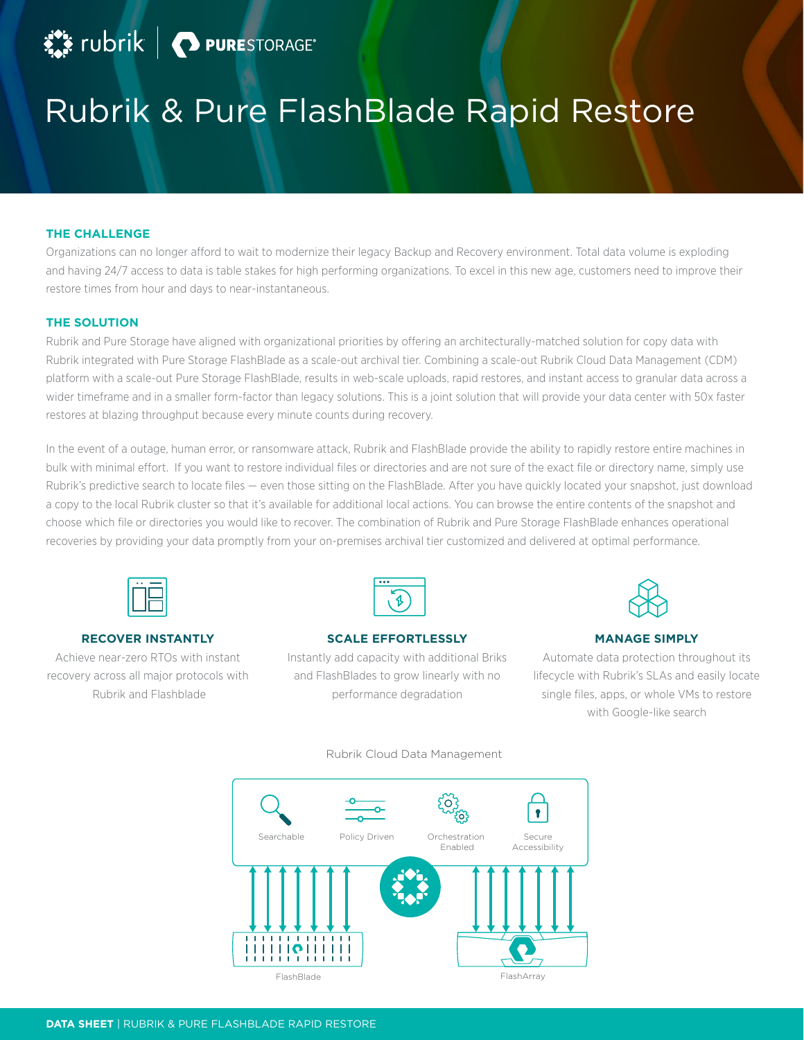# Rubrik & Pure FlashBlade Rapid Restore

# **THE CHALLENGE**

Organizations can no longer afford to wait to modernize their legacy Backup and Recovery environment. Total data volume is exploding and having 24/7 access to data is table stakes for high performing organizations. To excel in this new age, customers need to improve their restore times from hour and days to near-instantaneous.

# **THE SOLUTION**

Rubrik and Pure Storage have aligned with organizational priorities by offering an architecturally-matched solution for copy data with Rubrik integrated with Pure Storage FlashBlade as a scale-out archival tier. Combining a scale-out Rubrik Cloud Data Management (CDM) platform with a scale-out Pure Storage FlashBlade, results in web-scale uploads, rapid restores, and instant access to granular data across a wider timeframe and in a smaller form-factor than legacy solutions. This is a joint solution that will provide your data center with 50x faster restores at blazing throughput because every minute counts during recovery.

In the event of a outage, human error, or ransomware attack, Rubrik and FlashBlade provide the ability to rapidly restore entire machines in bulk with minimal effort. If you want to restore individual files or directories and are not sure of the exact file or directory name, simply use Rubrik's predictive search to locate files — even those sitting on the FlashBlade. After you have quickly located your snapshot, just download a copy to the local Rubrik cluster so that it's available for additional local actions. You can browse the entire contents of the snapshot and choose which file or directories you would like to recover. The combination of Rubrik and Pure Storage FlashBlade enhances operational recoveries by providing your data promptly from your on-premises archival tier customized and delivered at optimal performance.



# **RECOVER INSTANTLY**

Achieve near-zero RTOs with instant recovery across all major protocols with Rubrik and Flashblade



# **SCALE EFFORTLESSLY**

Instantly add capacity with additional Briks and FlashBlades to grow linearly with no performance degradation

#### **MANAGE SIMPLY**

Automate data protection throughout its lifecycle with Rubrik's SLAs and easily locate single files, apps, or whole VMs to restore with Google-like search



# Rubrik Cloud Data Management